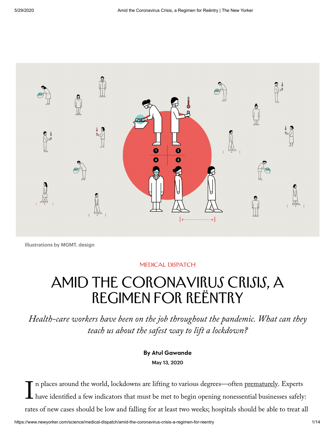

Illustrations by MGMT. design

## [Medical Dispatch](https://www.newyorker.com/science/medical-dispatch)

## AMID THE CORONAVIRUS CRISIS, A Regimen for Reëntry

Health-care workers have been on the job throughout the pandemic. What can they teach us about the safest way to lift a lockdown?

> By Atul [Gawande](https://www.newyorker.com/contributors/atul-gawande) May 13, 2020

 $\prod_1$ n places around the world, lockdowns are lifting to various degrees—often [prematurely](https://www.newyorker.com/news/our-columnists/the-white-houses-push-to-reopen-the-economy-this-early-is-a-dangerous-gamble). Experts have identified a few indicators that must be met to begin opening nonessential businesses safely: rates of new cases should be low and falling for at least two weeks; hospitals should be able to treat all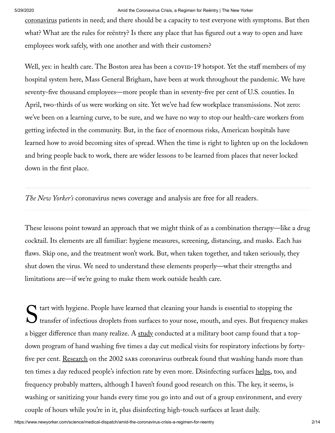## 5/29/2020 Amid the Coronavirus Crisis, a Regimen for Reëntry | The New Yorker

[coronavirus](https://www.newyorker.com/tag/coronavirus) patients in need; and there should be a capacity to test everyone with symptoms. But then what? What are the rules for reëntry? Is there any place that has figured out a way to open and have employees work safely, with one another and with their customers?

Well, yes: in health care. The Boston area has been a covip-19 hotspot. Yet the staff members of my hospital system here, Mass General Brigham, have been at work throughout the pandemic. We have seventy-five thousand employees—more people than in seventy-five per cent of U.S. counties. In April, two-thirds of us were working on site. Yet we've had few workplace transmissions. Not zero: we've been on a learning curve, to be sure, and we have no way to stop our health-care workers from getting infected in the community. But, in the face of enormous risks, American hospitals have learned how to avoid becoming sites of spread. When the time is right to lighten up on the lockdown and bring people back to work, there are wider lessons to be learned from places that never locked down in the first place.

The New Yorker's [coronavirus](https://www.newyorker.com/tag/coronavirus) news coverage and analysis are free for all readers.

These lessons point toward an approach that we might think of as a combination therapy—like a drug cocktail. Its elements are all familiar: hygiene measures, screening, distancing, and masks. Each has flaws. Skip one, and the treatment won't work. But, when taken together, and taken seriously, they shut down the virus. We need to understand these elements properly—what their strengths and limitations are—if we're going to make them work outside health care.

 $S_{t}^{t}$ tart with hygiene. People have learned that cleaning your hands is essential to stopping the transfer of infectious droplets from surfaces to your nose, mouth, and eyes. But frequency makes a bigger difference than many realize. A [study](https://www.ncbi.nlm.nih.gov/pubmed/11457626) conducted at a military boot camp found that a topdown program of hand washing five times a day cut medical visits for respiratory infections by forty-five per cent. <u>[Research](https://www.bmj.com/content/336/7635/77)</u> on the 2002 sars coronavirus outbreak found that washing hands more than ten times a day reduced people's infection rate by even more. Disinfecting surfaces [helps](https://www.cochranelibrary.com/cdsr/doi/10.1002/14651858.CD006207.pub4/full), too, and frequency probably matters, although I haven't found good research on this. The key, it seems, is washing or sanitizing your hands every time you go into and out of a group environment, and every couple of hours while you're in it, plus disinfecting high-touch surfaces at least daily.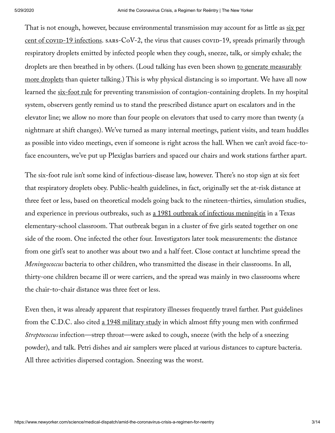That is not enough, however, because environmental transmission may account for as little as six per cent of  $\frac{\text{cov}}{19}$  infections.  $\frac{\text{SARS-CoV-2}}{2}$ , the virus that causes  $\frac{\text{cov}}{19}$ , spreads primarily through respiratory droplets emitted by infected people when they cough, sneeze, talk, or simply exhale; the droplets are then breathed in by others. (Loud talking has even been shown to generate measurably more droplets than quieter talking.) This is why physical distancing is so [important.](https://respiratory-research.biomedcentral.com/articles/10.1186/s12931-019-0970-9) We have all now learned the [six-foot](https://www.newyorker.com/news/q-and-a/the-vital-importance-of-isolation) rule for preventing transmission of contagion-containing droplets. In my hospital system, observers gently remind us to stand the prescribed distance apart on escalators and in the elevator line; we allow no more than four people on elevators that used to carry more than twenty (a nightmare at shift changes). We've turned as many internal meetings, patient visits, and team huddles as possible into video meetings, even if someone is right across the hall. When we can't avoid face-toface encounters, we've put up Plexiglas barriers and spaced our chairs and work stations farther apart.

The six-foot rule isn't some kind of infectious-disease law, however. There's no stop sign at six feet that respiratory droplets obey. Public-health guidelines, in fact, originally set the at-risk distance at three feet or less, based on theoretical models going back to the nineteen-thirties, simulation studies, and experience in previous outbreaks, such as a [1981 outbreak](https://www.ncbi.nlm.nih.gov/pubmed/6813733) of infectious meningitis in a Texas elementary-school classroom. That outbreak began in a cluster of five girls seated together on one side of the room. One infected the other four. Investigators later took measurements: the distance from one girl's seat to another was about two and a half feet. Close contact at lunchtime spread the Meningococcus bacteria to other children, who transmitted the disease in their classrooms. In all, thirty-one children became ill or were carriers, and the spread was mainly in two classrooms where the chair-to-chair distance was three feet or less.

Even then, it was already apparent that respiratory illnesses frequently travel farther. Past guidelines from the C.D.C. also cited a [1948 military](https://www.ncbi.nlm.nih.gov/pubmed/18856764) study in which almost fifty young men with confirmed Streptococcus infection—strep throat—were asked to cough, sneeze (with the help of a sneezing powder), and talk. Petri dishes and air samplers were placed at various distances to capture bacteria. All three activities dispersed contagion. Sneezing was the worst.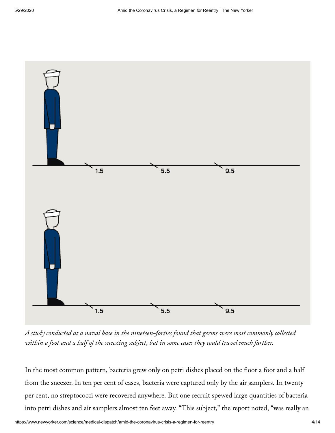

A study conducted at a naval base in the nineteen-forties found that germs were most commonly collected within a foot and a half of the sneezing subject, but in some cases they could travel much farther.

In the most common pattern, bacteria grew only on petri dishes placed on the floor a foot and a half from the sneezer. In ten per cent of cases, bacteria were captured only by the air samplers. In twenty per cent, no streptococci were recovered anywhere. But one recruit spewed large quantities of bacteria into petri dishes and air samplers almost ten feet away. "This subject," the report noted, "was really an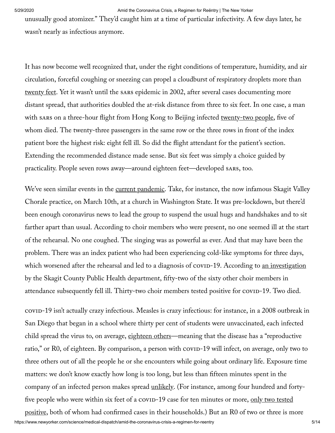5/29/2020 Amid the Coronavirus Crisis, a Regimen for Reëntry | The New Yorker

unusually good atomizer." They'd caught him at a time of particular infectivity. A few days later, he wasn't nearly as infectious anymore.

It has now become well recognized that, under the right conditions of temperature, humidity, and air circulation, forceful coughing or sneezing can propel a cloudburst of respiratory droplets more than [twenty](https://jamanetwork.com/journals/jama/fullarticle/2763852) feet. Yet it wasn't until the sars epidemic in 2002, after several cases documenting more distant spread, that authorities doubled the at-risk distance from three to six feet. In one case, a man with sars on a three-hour flight from Hong Kong to Beijing infected [twenty-two](https://www.nejm.org/doi/full/10.1056/nejmoa031349) people, five of whom died. The twenty-three passengers in the same row or the three rows in front of the index patient bore the highest risk: eight fell ill. So did the flight attendant for the patient's section. Extending the recommended distance made sense. But six feet was simply a choice guided by practicality. People seven rows away—around eighteen feet—developed sares, too.

We've seen similar events in the <u>current [pandemic](https://www.newyorker.com/tag/coronavirus)</u>. Take, for instance, the now infamous Skagit Valley Chorale practice, on March 10th, at a church in Washington State. It was pre-lockdown, but there'd been enough coronavirus news to lead the group to suspend the usual hugs and handshakes and to sit farther apart than usual. According to choir members who were present, no one seemed ill at the start of the rehearsal. No one coughed. The singing was as powerful as ever. And that may have been the problem. There was an index patient who had been experiencing cold-like symptoms for three days, which worsened after the rehearsal and led to a diagnosis of covid-19. According to <u>an [investigation](https://secure-web.cisco.com/16XgRc-3O_foN64UNN2sb3KVwnG2AY2Yb9_LcXieE14yH-s_cB9u06kShBDt7bGuh8nbHfej2A_Kn-09vP4voR-spoNGq95Zx6yU23N2YyVeIv2KYcpc9ufykqlWMItCOWak4CnbnEbapz-AlZ7E3tVQeY0G3i2DVDw5ciTsXd3PIdgPHZS81VtBf65a5Xm3sOtrhUgvMPTl8v9gJaBnzzsdOtoNoz5Wwudgawv-yYPdiIBU650OjYi7ffzuXoRkKBkSg_pJoBQ5ZwoWwy9LSQeZZIpDuwQCJxKjPBoPUGfpNcxMT1NuQHVIV49B4iXjv36a5hsbH4qXn9P4E-jp5ZSgoe2EJrsT7oi-_3okksREkinZsa7bbIDuzC8f73aG5/https%3A%2F%2Fwww.cdc.gov%2Fmmwr%2Fvolumes%2F69%2Fwr%2Fmm6919e6.htm%3Fs_cid%3Dmm6919e6_w)</u> by the Skagit County Public Health department, fifty-two of the sixty other choir members in attendance subsequently fell ill. Thirty-two choir members tested positive for  $\alpha$  covid-19. Two died.

https://www.newyorker.com/science/medical-dispatch/amid-the-coronavirus-crisis-a-regimen-for-reentry 5/14 -19 isn't actually crazy infectious. Measles is crazy infectious: for instance, in a 2008 outbreak in San Diego that began in a school where thirty per cent of students were unvaccinated, each infected child spread the virus to, on average, [eighteen](https://www.ncbi.nlm.nih.gov/pmc/articles/PMC5859952/) others—meaning that the disease has a "reproductive ratio," or R0, of eighteen. By comparison, a person with covid-19 will infect, on average, only two to three others out of all the people he or she encounters while going about ordinary life. Exposure time matters: we don't know exactly how long is too long, but less than fifteen minutes spent in the company of an infected person makes spread <u>[unlikely](https://www.cdc.gov/coronavirus/2019-ncov/php/public-health-recommendations.html)</u>. (For instance, among four hundred and forty-five people who were within six feet of a covip[-19 case](https://www.cdc.gov/mmwr/volumes/69/wr/mm6909e1.htm?s_cid=mm6909e1_w) for ten minutes or more, only two tested positive, both of whom had confirmed cases in their households.) But an R0 of two or three is more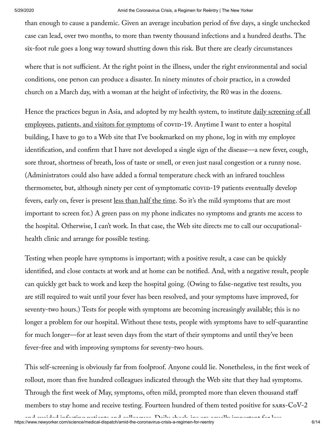than enough to cause a pandemic. Given an average incubation period of five days, a single unchecked case can lead, over two months, to more than twenty thousand infections and a hundred deaths. The six-foot rule goes a long way toward shutting down this risk. But there are clearly circumstances

where that is not sufficient. At the right point in the illness, under the right environmental and social conditions, one person can produce a disaster. In ninety minutes of choir practice, in a crowded church on a March day, with a woman at the height of infectivity, the R0 was in the dozens.

Hence the practices begun in Asia, and adopted by my health system, to institute <u>daily screening of all</u> [employees,](https://www.medrxiv.org/content/10.1101/2020.04.17.20069211v1.full.pdf) patients, and visitors for symptoms of covid-19. Anytime I want to enter a hospital building, I have to go to a Web site that I've bookmarked on my phone, log in with my employee identification, and confirm that I have not developed a single sign of the disease—a new fever, cough, sore throat, shortness of breath, loss of taste or smell, or even just nasal congestion or a runny nose. (Administrators could also have added a formal temperature check with an infrared touchless thermometer, but, although ninety per cent of symptomatic covid-19 patients eventually develop fevers, early on, fever is present <u>less than half the time</u>. So it's the mild symptoms that are most important to screen for.) A green pass on my phone indicates no symptoms and grants me access to the hospital. Otherwise, I can't work. In that case, the Web site directs me to call our occupationalhealth clinic and arrange for possible testing.

Testing when people have symptoms is important; with a positive result, a case can be quickly identified, and close contacts at work and at home can be notified. And, with a negative result, people can quickly get back to work and keep the hospital going. (Owing to false-negative test results, you are still required to wait until your fever has been resolved, and your symptoms have improved, for seventy-two hours.) Tests for people with symptoms are becoming increasingly available; this is no longer a problem for our hospital. Without these tests, people with symptoms have to self-quarantine for much longer—for at least seven days from the start of their symptoms and until they've been fever-free and with improving symptoms for seventy-two hours.

This self-screening is obviously far from foolproof. Anyone could lie. Nonetheless, in the first week of rollout, more than five hundred colleagues indicated through the Web site that they had symptoms. Through the first week of May, symptoms, often mild, prompted more than eleven thousand staff members to stay home and receive testing. Fourteen hundred of them tested positive for  $s$ ARS- $CoV-2$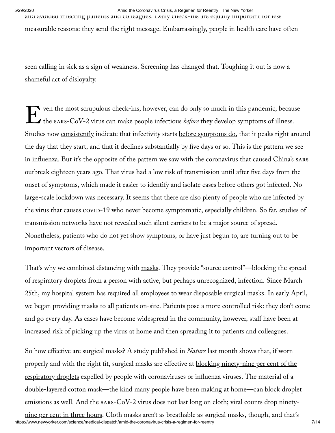5/29/2020 Amid the Coronavirus Crisis, a Regimen for Reëntry | The New Yorker and avoided infecting patients and colleagues. Daily check-ins are equally important for less measurable reasons: they send the right message. Embarrassingly, people in health care have often

seen calling in sick as a sign of weakness. Screening has changed that. Toughing it out is now a shameful act of disloyalty.

 $\sum_{t}$ ven the most scrupulous check-ins, however, can do only so much in this pandemic, because the sars-CoV-2 virus can make people infectious *before* they develop symptoms of illness. Studies now <u>[consistently](https://www.nature.com/articles/s41591-020-0869-5)</u> indicate that infectivity starts <u>before [symptoms](https://jamanetwork.com/journals/jamainternalmedicine/fullarticle/2765641) do</u>, that it peaks right around the day that they start, and that it declines substantially by five days or so. This is the pattern we see in influenza. But it's the opposite of the pattern we saw with the coronavirus that caused China's sares outbreak eighteen years ago. That virus had a low risk of transmission until after five days from the onset of symptoms, which made it easier to identify and isolate cases before others got infected. No large-scale lockdown was necessary. It seems that there are also plenty of people who are infected by the virus that causes covin-19 who never become symptomatic, especially children. So far, studies of transmission networks have not revealed such silent carriers to be a major source of spread. Nonetheless, patients who do not yet show symptoms, or have just begun to, are turning out to be important vectors of disease.

That's why we combined distancing with [masks](https://www.newyorker.com/news/q-and-a/the-vital-importance-of-wearing-masks-during-the-coronavirus-pandemic). They provide "source control"—blocking the spread of respiratory droplets from a person with active, but perhaps unrecognized, infection. Since March 25th, my hospital system has required all employees to wear disposable surgical masks. In early April, we began providing masks to all patients on-site. Patients pose a more controlled risk: they don't come and go every day. As cases have become widespread in the community, however, staff have been at increased risk of picking up the virus at home and then spreading it to patients and colleagues.

So how effective are surgical masks? A study published in *Nature* last month shows that, if worn properly and with the right fit, surgical masks are effective at **blocking ninety-nine per cent of the** respiratory droplets expelled by people with [coronaviruses](https://www.nature.com/articles/s41591-020-0843-2) or influenza viruses. The material of a double-layered cotton mask—the kind many people have been making at home—can block droplet emissions <u>as well</u>. And the sars- $CoV-2$  virus does not last long on cloth; viral counts drop <u>ninety-</u>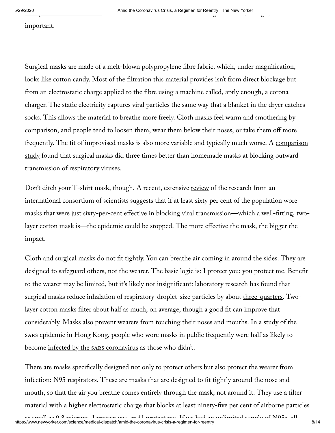important.

Surgical masks are made of a melt-blown polypropylene fibre fabric, which, under magnification, looks like cotton candy. Most of the filtration this material provides isn't from direct blockage but from an electrostatic charge applied to the fibre using a machine called, aptly enough, a corona charger. The static electricity captures viral particles the same way that a blanket in the dryer catches socks. This allows the material to breathe more freely. Cloth masks feel warm and smothering by comparison, and people tend to loosen them, wear them below their noses, or take them off more frequently. The fit of improvised masks is also more variable and typically much worse. A [comparison](https://www.ncbi.nlm.nih.gov/pmc/articles/PMC7108646/) <u>study</u> found that surgical masks did three times better than homemade masks at blocking outward transmission of respiratory viruses.

Don't ditch your T-shirt mask, though. A recent, extensive <u>[review](https://www.preprints.org/manuscript/202004.0203/v1)</u> of the research from an international consortium of scientists suggests that if at least sixty per cent of the population wore masks that were just sixty-per-cent effective in blocking viral transmission—which a well-fitting, twolayer cotton mask is—the epidemic could be stopped. The more effective the mask, the bigger the impact.

Cloth and surgical masks do not fit tightly. You can breathe air coming in around the sides. They are designed to safeguard others, not the wearer. The basic logic is: I protect you; you protect me. Benefit to the wearer may be limited, but it's likely not insignificant: laboratory research has found that surgical masks reduce inhalation of respiratory-droplet-size particles by about <u>[three-quarters](https://www.medrxiv.org/content/10.1101/2020.04.17.20069567v2.full.pdf)</u>. Twolayer cotton masks filter about half as much, on average, though a good fit can improve that considerably. Masks also prevent wearers from touching their noses and mouths. In a study of the sares epidemic in Hong Kong, people who wore masks in public frequently were half as likely to become <u>infected by the sares [coronavirus](https://wwwnc.cdc.gov/eid/article/10/4/03-0628_article)</u> as those who didn't.

There are masks specifically designed not only to protect others but also protect the wearer from infection: N95 respirators. These are masks that are designed to fit tightly around the nose and mouth, so that the air you breathe comes entirely through the mask, not around it. They use a filter material with a higher electrostatic charge that blocks at least ninety-five per cent of airborne particles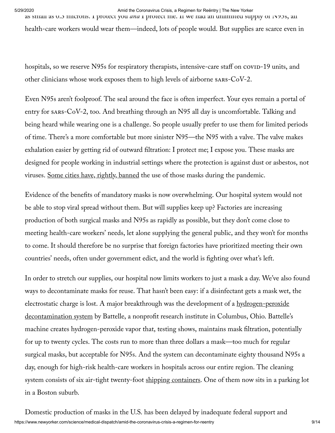5/29/2020 Amid the Coronavirus Crisis, a Regimen for Reëntry | The New Yorker

as small as 0.3 microns. I protect you and I protect me. If we had an unlimited supply of N95s, all health-care workers would wear them—indeed, lots of people would. But supplies are scarce even in

hospitals, so we reserve N95s for respiratory therapists, intensive-care staff on covin-19 units, and other clinicians whose work exposes them to high levels of airborne  $sars-CoV-2$ .

Even N95s aren't foolproof. The seal around the face is often imperfect. Your eyes remain a portal of entry for sars- $CoV-2$ , too. And breathing through an N95 all day is uncomfortable. Talking and being heard while wearing one is a challenge. So people usually prefer to use them for limited periods of time. There's a more comfortable but more sinister N95—the N95 with a valve. The valve makes exhalation easier by getting rid of outward filtration: I protect me; I expose you. These masks are designed for people working in industrial settings where the protection is against dust or asbestos, not viruses. Some cities have, rightly, [banned](https://www.mercurynews.com/2020/04/22/coronavirus-bay-area-mask-order-takes-effect-wednesday-heres-what-you-need-to-know/) the use of those masks during the pandemic.

Evidence of the benefits of mandatory masks is now overwhelming. Our hospital system would not be able to stop viral spread without them. But will supplies keep up? Factories are increasing production of both surgical masks and N95s as rapidly as possible, but they don't come close to meeting health-care workers' needs, let alone supplying the general public, and they won't for months to come. It should therefore be no surprise that foreign factories have prioritized meeting their own countries' needs, often under government edict, and the world is fighting over what's left.

In order to stretch our supplies, our hospital now limits workers to just a mask a day. We've also found ways to decontaminate masks for reuse. That hasn't been easy: if a disinfectant gets a mask wet, the electrostatic charge is lost. A major breakthrough was the development of a [hydrogen-peroxide](https://www.bostonglobe.com/2020/04/11/nation/massachusetts-hospitals-will-get-n95-mask-decontamination-free/) decontamination system by Battelle, a nonprofit research institute in Columbus, Ohio. Battelle's machine creates hydrogen-peroxide vapor that, testing shows, maintains mask filtration, potentially for up to twenty cycles. The costs run to more than three dollars a mask—too much for regular surgical masks, but acceptable for N95s. And the system can decontaminate eighty thousand N95s a day, enough for high-risk health-care workers in hospitals across our entire region. The cleaning system consists of six air-tight twenty-foot shipping [containers](https://www.bostonglobe.com/2020/04/02/metro/boston-hospitals-getting-game-changer-machine-that-sterilizes-80000-protective-masks-day/). One of them now sits in a parking lot in a Boston suburb.

https://www.newyorker.com/science/medical-dispatch/amid-the-coronavirus-crisis-a-regimen-for-reentry 9/14 Domestic production of masks in the U.S. has been delayed by inadequate federal support and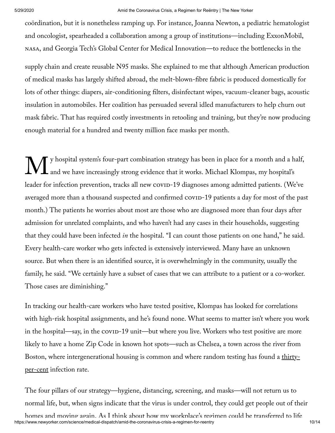coördination, but it is nonetheless ramping up. For instance, Joanna Newton, a pediatric hematologist and oncologist, spearheaded a collaboration among a group of institutions—including ExxonMobil, , and Georgia Tech's Global Center for Medical Innovation—to reduce the bottlenecks in the

supply chain and create reusable N95 masks. She explained to me that although American production of medical masks has largely shifted abroad, the melt-blown-fibre fabric is produced domestically for lots of other things: diapers, air-conditioning filters, disinfectant wipes, vacuum-cleaner bags, acoustic insulation in automobiles. Her coalition has persuaded several idled manufacturers to help churn out mask fabric. That has required costly investments in retooling and training, but they're now producing enough material for a hundred and twenty million face masks per month.

 $\mathbf{M}^{\scriptscriptstyle\mathrm{y}\scriptscriptstyle\mathrm{b}}_{\scriptscriptstyle\mathrm{an}}$ y hospital system's four-part combination strategy has been in place for a month and a half, and we have increasingly strong evidence that it works. Michael Klompas, my hospital's leader for infection prevention, tracks all new covid-19 diagnoses among admitted patients. (We've averaged more than a thousand suspected and confirmed  $covID-19$  patients a day for most of the past month.) The patients he worries about most are those who are diagnosed more than four days after admission for unrelated complaints, and who haven't had any cases in their households, suggesting that they could have been infected *in* the hospital. "I can count those patients on one hand," he said. Every health-care worker who gets infected is extensively interviewed. Many have an unknown source. But when there is an identified source, it is overwhelmingly in the community, usually the family, he said. "We certainly have a subset of cases that we can attribute to a patient or a co-worker. Those cases are diminishing."

In tracking our health-care workers who have tested positive, Klompas has looked for correlations with high-risk hospital assignments, and he's found none. What seems to matter isn't where you work in the hospital—say, in the covid-19 unit—but where you live. Workers who test positive are more likely to have a home Zip Code in known hot spots—such as Chelsea, a town across the river from Boston, where [intergenerational](https://www.bostonglobe.com/2020/04/17/business/nearly-third-200-blood-samples-taken-chelsea-show-exposure-coronavirus/) housing is common and where random testing has found a <u>thirty-</u> per-cent infection rate.

The four pillars of our strategy—hygiene, distancing, screening, and masks—will not return us to normal life, but, when signs indicate that the virus is under control, they could get people out of their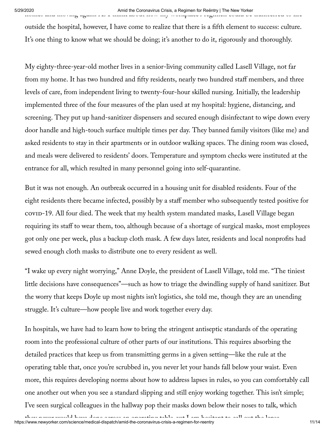outside the hospital, however, I have come to realize that there is a fth element to success: culture. It's one thing to know what we should be doing; it's another to do it, rigorously and thoroughly.

My eighty-three-year-old mother lives in a senior-living community called Lasell Village, not far from my home. It has two hundred and fifty residents, nearly two hundred staff members, and three levels of care, from independent living to twenty-four-hour skilled nursing. Initially, the leadership implemented three of the four measures of the plan used at my hospital: hygiene, distancing, and screening. They put up hand-sanitizer dispensers and secured enough disinfectant to wipe down every door handle and high-touch surface multiple times per day. They banned family visitors (like me) and asked residents to stay in their apartments or in outdoor walking spaces. The dining room was closed, and meals were delivered to residents' doors. Temperature and symptom checks were instituted at the entrance for all, which resulted in many personnel going into self-quarantine.

But it was not enough. An outbreak occurred in a housing unit for disabled residents. Four of the eight residents there became infected, possibly by a staff member who subsequently tested positive for -19. All four died. The week that my health system mandated masks, Lasell Village began requiring its staff to wear them, too, although because of a shortage of surgical masks, most employees got only one per week, plus a backup cloth mask. A few days later, residents and local nonprofits had sewed enough cloth masks to distribute one to every resident as well.

"I wake up every night worrying," Anne Doyle, the president of Lasell Village, told me. "The tiniest little decisions have consequences"—such as how to triage the dwindling supply of hand sanitizer. But the worry that keeps Doyle up most nights isn't logistics, she told me, though they are an unending struggle. It's culture—how people live and work together every day.

In hospitals, we have had to learn how to bring the stringent antiseptic standards of the operating room into the professional culture of other parts of our institutions. This requires absorbing the detailed practices that keep us from transmitting germs in a given setting—like the rule at the operating table that, once you're scrubbed in, you never let your hands fall below your waist. Even more, this requires developing norms about how to address lapses in rules, so you can comfortably call one another out when you see a standard slipping and still enjoy working together. This isn't simple; I've seen surgical colleagues in the hallway pop their masks down below their noses to talk, which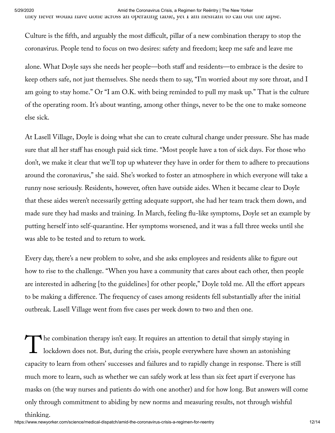5/29/2020 Amid the Coronavirus Crisis, a Regimen for Reëntry | The New Yorker they never would have done across an operating table, yet I am hesitant to call out the lapse.

Culture is the fth, and arguably the most difficult, pillar of a new combination therapy to stop the coronavirus. People tend to focus on two desires: safety and freedom; keep me safe and leave me

alone. What Doyle says she needs her people—both staff and residents—to embrace is the desire to keep others safe, not just themselves. She needs them to say, "I'm worried about my sore throat, and I am going to stay home." Or "I am O.K. with being reminded to pull my mask up." That is the culture of the operating room. It's about wanting, among other things, never to be the one to make someone else sick.

At Lasell Village, Doyle is doing what she can to create cultural change under pressure. She has made sure that all her staff has enough paid sick time. "Most people have a ton of sick days. For those who don't, we make it clear that we'll top up whatever they have in order for them to adhere to precautions around the coronavirus," she said. She's worked to foster an atmosphere in which everyone will take a runny nose seriously. Residents, however, often have outside aides. When it became clear to Doyle that these aides weren't necessarily getting adequate support, she had her team track them down, and made sure they had masks and training. In March, feeling flu-like symptoms, Doyle set an example by putting herself into self-quarantine. Her symptoms worsened, and it was a full three weeks until she was able to be tested and to return to work.

Every day, there's a new problem to solve, and she asks employees and residents alike to figure out how to rise to the challenge. "When you have a community that cares about each other, then people are interested in adhering [to the guidelines] for other people," Doyle told me. All the effort appears to be making a difference. The frequency of cases among residents fell substantially after the initial outbreak. Lasell Village went from five cases per week down to two and then one.

 $\int_{0}^{\text{h}}$ he combination therapy isn't easy. It requires an attention to detail that simply staying in lockdown does not. But, during the crisis, people everywhere have shown an astonishing capacity to learn from others' successes and failures and to rapidly change in response. There is still much more to learn, such as whether we can safely work at less than six feet apart if everyone has masks on (the way nurses and patients do with one another) and for how long. But answers will come only through commitment to abiding by new norms and measuring results, not through wishful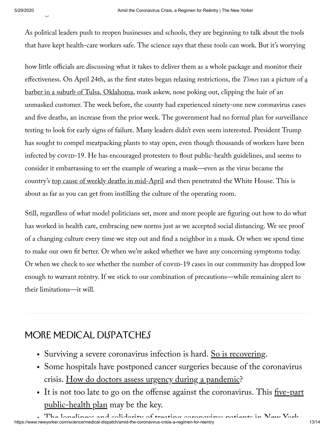.<br>ب

As political leaders push to reopen businesses and schools, they are beginning to talk about the tools that have kept health-care workers safe. The science says that these tools can work. But it's worrying

how little officials are discussing what it takes to deliver them as a whole package and monitor their [effectiveness.](https://www.nytimes.com/2020/04/24/us/coronavirus-georgia-oklahoma-alaska-reopen.html) On April 24th, as the first states began relaxing restrictions, the *Times* ran a picture of  $\underline{a}$ barber in a suburb of Tulsa, Oklahoma, mask askew, nose poking out, clipping the hair of an unmasked customer. The week before, the county had experienced ninety-one new coronavirus cases and five deaths, an increase from the prior week. The government had no formal plan for surveillance testing to look for early signs of failure. Many leaders didn't even seem interested. President Trump has sought to compel meatpacking plants to stay open, even though thousands of workers have been infected by covid-19. He has encouraged protesters to flout public-health guidelines, and seems to consider it embarrassing to set the example of wearing a mask—even as the virus became the country's top cause of weekly deaths in [mid-April](https://www.cdc.gov/nchs/nvss/vsrr/covid19/index.htm) and then penetrated the White House. This is about as far as you can get from instilling the culture of the operating room.

Still, regardless of what model politicians set, more and more people are figuring out how to do what has worked in health care, embracing new norms just as we accepted social distancing. We see proof of a changing culture every time we step out and find a neighbor in a mask. Or when we spend time to make our own fit better. Or when we're asked whether we have any concerning symptoms today. Or when we check to see whether the number of covid-19 cases in our community has dropped low enough to warrant reëntry. If we stick to our combination of precautions—while remaining alert to their limitations—it will.

## More Medical Dispatches

- Surviving a severe coronavirus infection is hard. So is [recovering](https://www.newyorker.com/science/medical-dispatch/the-challenges-of-post-covid-19-care?itm_content=footer-recirc).
- Some hospitals have postponed cancer surgeries because of the coronavirus crisis. How do doctors assess urgency during a [pandemic](https://www.newyorker.com/science/medical-dispatch/for-now-we-wait-postponing-cancer-surgery-during-the-coronavirus-crisis?itm_content=footer-recirc)?
- It is not too late to go on the offense against the coronavirus. This  $\frac{five-part}{$ [public-health plan](https://www.newyorker.com/science/medical-dispatch/its-not-too-late-to-go-on-offense-against-the-coronavirus?itm_content=footer-recirc) may be the key.